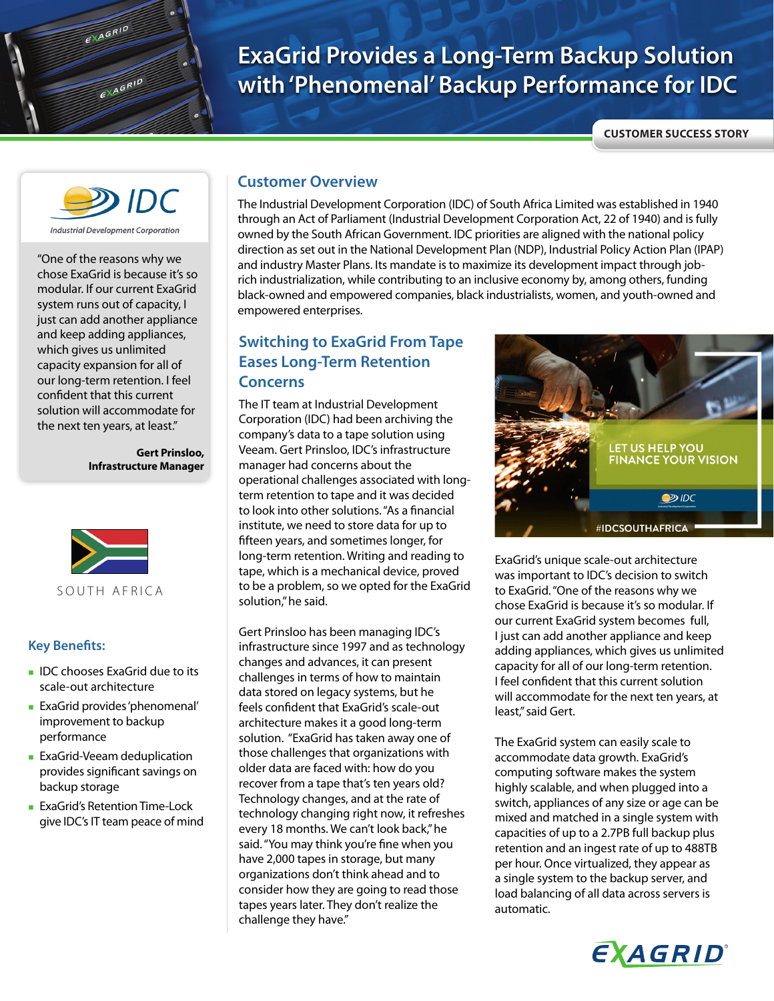# **ExaGrid Provides a Long-Term Backup Solution with 'Phenomenal' Backup Performance for IDC**

**CUSTOMER SUCCESS STORY**



EXAGRID

 $R = \sqrt{A} \frac{G}{B}$ 

**Industrial Development Corporation** 

"One of the reasons why we chose ExaGrid is because it's so modular. If our current ExaGrid system runs out of capacity, I just can add another appliance and keep adding appliances, which gives us unlimited capacity expansion for all of our long-term retention. I feel confident that this current solution will accommodate for the next ten years, at least."

> **Gert Prinsloo, Infrastructure Manager**



#### **Key Benefits:**

- **IDC** chooses ExaGrid due to its scale-out architecture
- ExaGrid provides 'phenomenal' improvement to backup performance
- **ExaGrid-Veeam deduplication** provides significant savings on backup storage
- **ExaGrid's Retention Time-Lock** give IDC's IT team peace of mind

#### **Customer Overview**

The Industrial Development Corporation (IDC) of South Africa Limited was established in 1940 through an Act of Parliament (Industrial Development Corporation Act, 22 of 1940) and is fully owned by the South African Government. IDC priorities are aligned with the national policy direction as set out in the National Development Plan (NDP), Industrial Policy Action Plan (IPAP) and industry Master Plans. Its mandate is to maximize its development impact through jobrich industrialization, while contributing to an inclusive economy by, among others, funding black-owned and empowered companies, black industrialists, women, and youth-owned and empowered enterprises.

#### **Switching to ExaGrid From Tape Eases Long-Term Retention Concerns**

The IT team at Industrial Development Corporation (IDC) had been archiving the company's data to a tape solution using Veeam. Gert Prinsloo, IDC's infrastructure manager had concerns about the operational challenges associated with longterm retention to tape and it was decided to look into other solutions. "As a financial institute, we need to store data for up to fifteen years, and sometimes longer, for long-term retention. Writing and reading to tape, which is a mechanical device, proved to be a problem, so we opted for the ExaGrid solution," he said.

Gert Prinsloo has been managing IDC's infrastructure since 1997 and as technology changes and advances, it can present challenges in terms of how to maintain data stored on legacy systems, but he feels confident that ExaGrid's scale-out architecture makes it a good long-term solution. "ExaGrid has taken away one of those challenges that organizations with older data are faced with: how do you recover from a tape that's ten years old? Technology changes, and at the rate of technology changing right now, it refreshes every 18 months. We can't look back," he said. "You may think you're fine when you have 2,000 tapes in storage, but many organizations don't think ahead and to consider how they are going to read those tapes years later. They don't realize the challenge they have."



ExaGrid's unique scale-out architecture was important to IDC's decision to switch to ExaGrid. "One of the reasons why we chose ExaGrid is because it's so modular. If our current ExaGrid system becomes full, I just can add another appliance and keep adding appliances, which gives us unlimited capacity for all of our long-term retention. I feel confident that this current solution will accommodate for the next ten years, at least," said Gert.

The ExaGrid system can easily scale to accommodate data growth. ExaGrid's computing software makes the system highly scalable, and when plugged into a switch, appliances of any size or age can be mixed and matched in a single system with capacities of up to a 2.7PB full backup plus retention and an ingest rate of up to 488TB per hour. Once virtualized, they appear as a single system to the backup server, and load balancing of all data across servers is automatic.